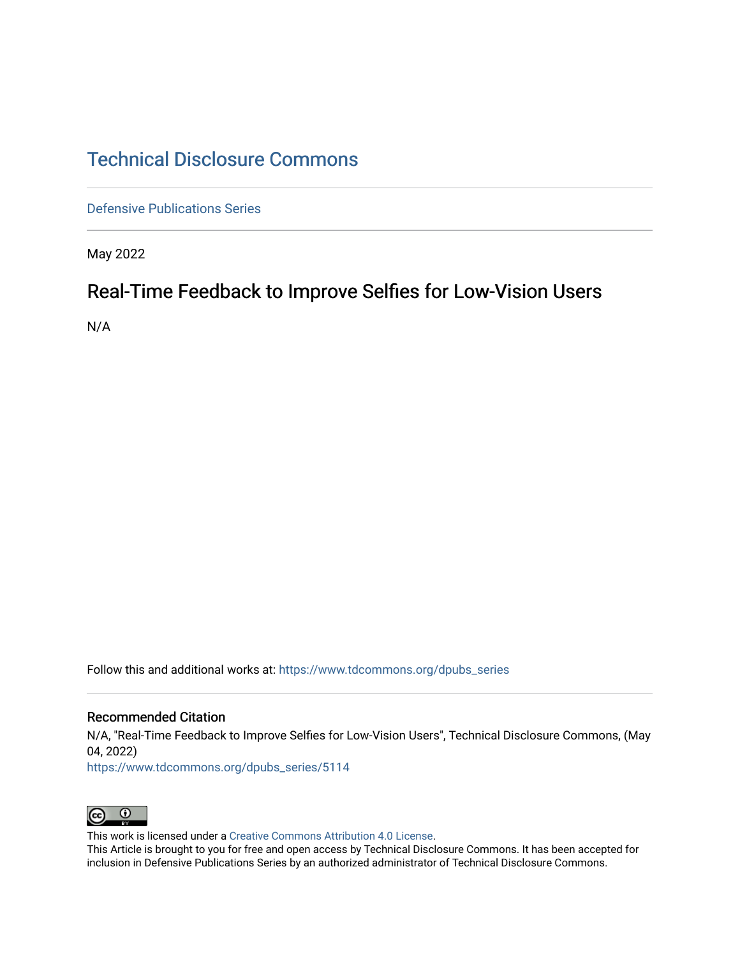# [Technical Disclosure Commons](https://www.tdcommons.org/)

[Defensive Publications Series](https://www.tdcommons.org/dpubs_series)

May 2022

# Real-Time Feedback to Improve Selfies for Low-Vision Users

N/A

Follow this and additional works at: [https://www.tdcommons.org/dpubs\\_series](https://www.tdcommons.org/dpubs_series?utm_source=www.tdcommons.org%2Fdpubs_series%2F5114&utm_medium=PDF&utm_campaign=PDFCoverPages) 

#### Recommended Citation

N/A, "Real-Time Feedback to Improve Selfies for Low-Vision Users", Technical Disclosure Commons, (May 04, 2022)

[https://www.tdcommons.org/dpubs\\_series/5114](https://www.tdcommons.org/dpubs_series/5114?utm_source=www.tdcommons.org%2Fdpubs_series%2F5114&utm_medium=PDF&utm_campaign=PDFCoverPages)



This work is licensed under a [Creative Commons Attribution 4.0 License](http://creativecommons.org/licenses/by/4.0/deed.en_US).

This Article is brought to you for free and open access by Technical Disclosure Commons. It has been accepted for inclusion in Defensive Publications Series by an authorized administrator of Technical Disclosure Commons.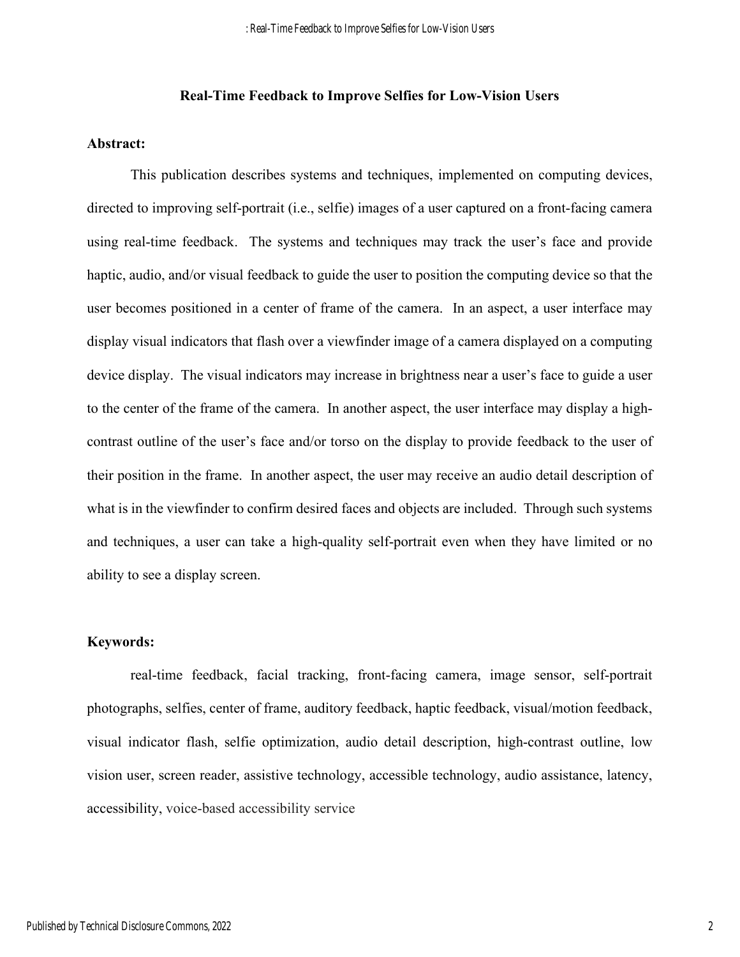## **Real-Time Feedback to Improve Selfies for Low-Vision Users**

#### **Abstract:**

This publication describes systems and techniques, implemented on computing devices, directed to improving self-portrait (i.e., selfie) images of a user captured on a front-facing camera using real-time feedback. The systems and techniques may track the user's face and provide haptic, audio, and/or visual feedback to guide the user to position the computing device so that the user becomes positioned in a center of frame of the camera. In an aspect, a user interface may display visual indicators that flash over a viewfinder image of a camera displayed on a computing device display. The visual indicators may increase in brightness near a user's face to guide a user to the center of the frame of the camera. In another aspect, the user interface may display a highcontrast outline of the user's face and/or torso on the display to provide feedback to the user of their position in the frame. In another aspect, the user may receive an audio detail description of what is in the viewfinder to confirm desired faces and objects are included. Through such systems and techniques, a user can take a high-quality self-portrait even when they have limited or no ability to see a display screen.

## **Keywords:**

 real-time feedback, facial tracking, front-facing camera, image sensor, self-portrait photographs, selfies, center of frame, auditory feedback, haptic feedback, visual/motion feedback, visual indicator flash, selfie optimization, audio detail description, high-contrast outline, low vision user, screen reader, assistive technology, accessible technology, audio assistance, latency, accessibility, voice-based accessibility service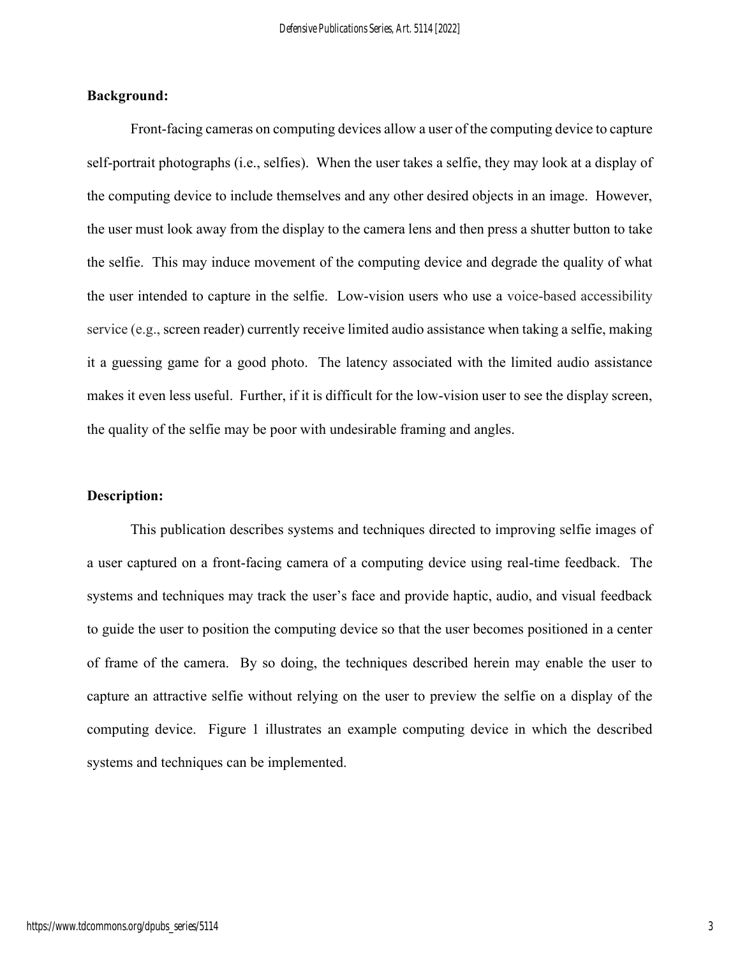## **Background:**

Front-facing cameras on computing devices allow a user of the computing device to capture self-portrait photographs (i.e., selfies). When the user takes a selfie, they may look at a display of the computing device to include themselves and any other desired objects in an image. However, the user must look away from the display to the camera lens and then press a shutter button to take the selfie. This may induce movement of the computing device and degrade the quality of what the user intended to capture in the selfie. Low-vision users who use a voice-based accessibility service (e.g., screen reader) currently receive limited audio assistance when taking a selfie, making it a guessing game for a good photo. The latency associated with the limited audio assistance makes it even less useful. Further, if it is difficult for the low-vision user to see the display screen, the quality of the selfie may be poor with undesirable framing and angles.

## **Description:**

This publication describes systems and techniques directed to improving selfie images of a user captured on a front-facing camera of a computing device using real-time feedback. The systems and techniques may track the user's face and provide haptic, audio, and visual feedback to guide the user to position the computing device so that the user becomes positioned in a center of frame of the camera. By so doing, the techniques described herein may enable the user to capture an attractive selfie without relying on the user to preview the selfie on a display of the computing device. Figure 1 illustrates an example computing device in which the described systems and techniques can be implemented.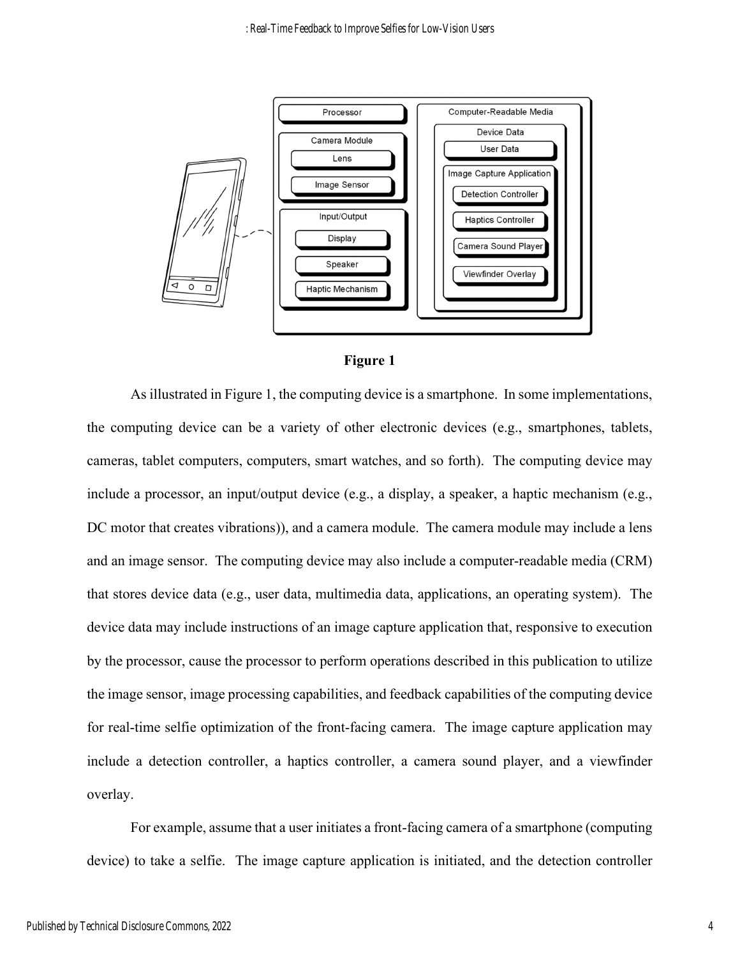



As illustrated in Figure 1, the computing device is a smartphone. In some implementations, the computing device can be a variety of other electronic devices (e.g., smartphones, tablets, cameras, tablet computers, computers, smart watches, and so forth). The computing device may include a processor, an input/output device (e.g., a display, a speaker, a haptic mechanism (e.g., DC motor that creates vibrations), and a camera module. The camera module may include a lens and an image sensor. The computing device may also include a computer-readable media (CRM) that stores device data (e.g., user data, multimedia data, applications, an operating system). The device data may include instructions of an image capture application that, responsive to execution by the processor, cause the processor to perform operations described in this publication to utilize the image sensor, image processing capabilities, and feedback capabilities of the computing device for real-time selfie optimization of the front-facing camera. The image capture application may include a detection controller, a haptics controller, a camera sound player, and a viewfinder overlay.

For example, assume that a user initiates a front-facing camera of a smartphone (computing device) to take a selfie. The image capture application is initiated, and the detection controller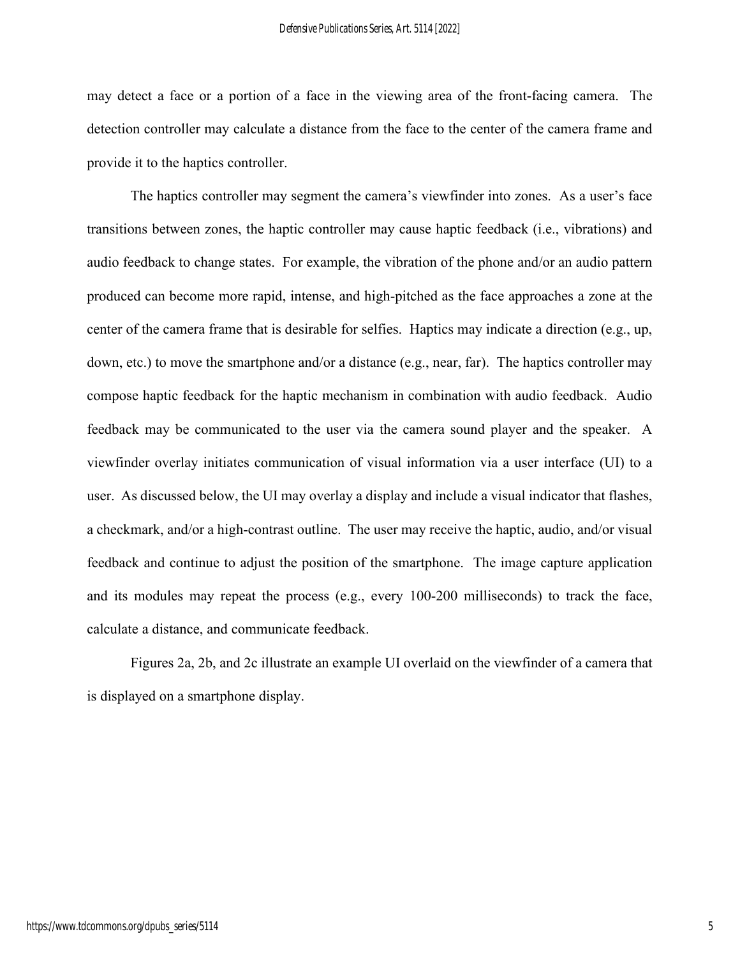may detect a face or a portion of a face in the viewing area of the front-facing camera. The detection controller may calculate a distance from the face to the center of the camera frame and provide it to the haptics controller.

The haptics controller may segment the camera's viewfinder into zones. As a user's face transitions between zones, the haptic controller may cause haptic feedback (i.e., vibrations) and audio feedback to change states. For example, the vibration of the phone and/or an audio pattern produced can become more rapid, intense, and high-pitched as the face approaches a zone at the center of the camera frame that is desirable for selfies. Haptics may indicate a direction (e.g., up, down, etc.) to move the smartphone and/or a distance (e.g., near, far). The haptics controller may compose haptic feedback for the haptic mechanism in combination with audio feedback. Audio feedback may be communicated to the user via the camera sound player and the speaker. A viewfinder overlay initiates communication of visual information via a user interface (UI) to a user. As discussed below, the UI may overlay a display and include a visual indicator that flashes, a checkmark, and/or a high-contrast outline. The user may receive the haptic, audio, and/or visual feedback and continue to adjust the position of the smartphone. The image capture application and its modules may repeat the process (e.g., every 100-200 milliseconds) to track the face, calculate a distance, and communicate feedback.

Figures 2a, 2b, and 2c illustrate an example UI overlaid on the viewfinder of a camera that is displayed on a smartphone display.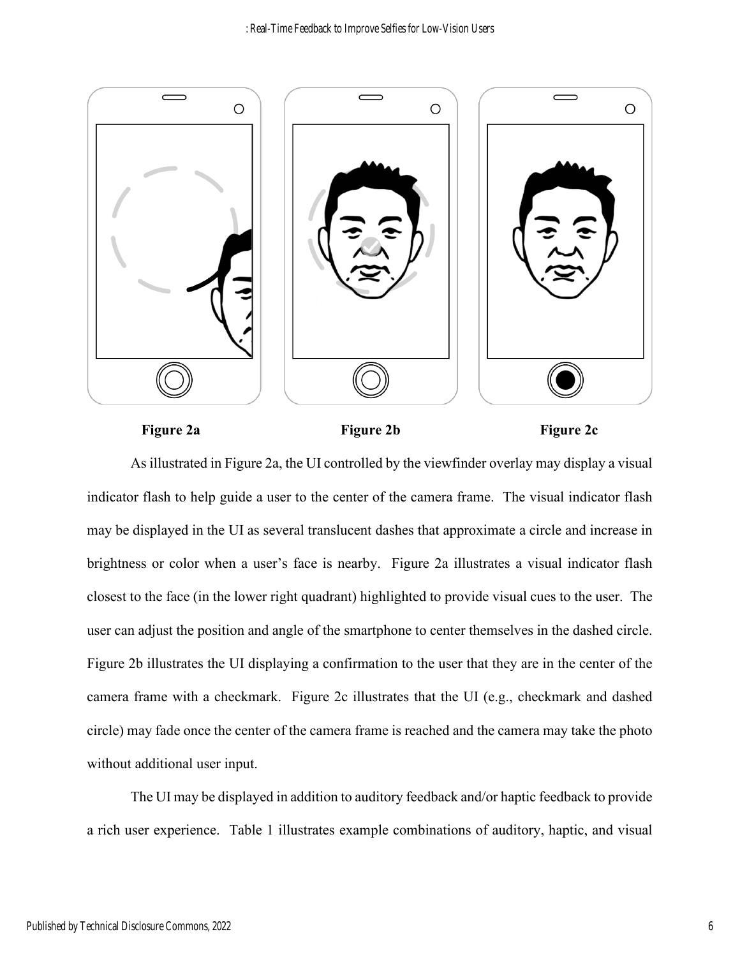

Figure 2a Figure 2b Figure 2c

As illustrated in Figure 2a, the UI controlled by the viewfinder overlay may display a visual indicator flash to help guide a user to the center of the camera frame. The visual indicator flash may be displayed in the UI as several translucent dashes that approximate a circle and increase in brightness or color when a user's face is nearby. Figure 2a illustrates a visual indicator flash closest to the face (in the lower right quadrant) highlighted to provide visual cues to the user. The user can adjust the position and angle of the smartphone to center themselves in the dashed circle. Figure 2b illustrates the UI displaying a confirmation to the user that they are in the center of the camera frame with a checkmark. Figure 2c illustrates that the UI (e.g., checkmark and dashed circle) may fade once the center of the camera frame is reached and the camera may take the photo without additional user input.

The UI may be displayed in addition to auditory feedback and/or haptic feedback to provide a rich user experience. Table 1 illustrates example combinations of auditory, haptic, and visual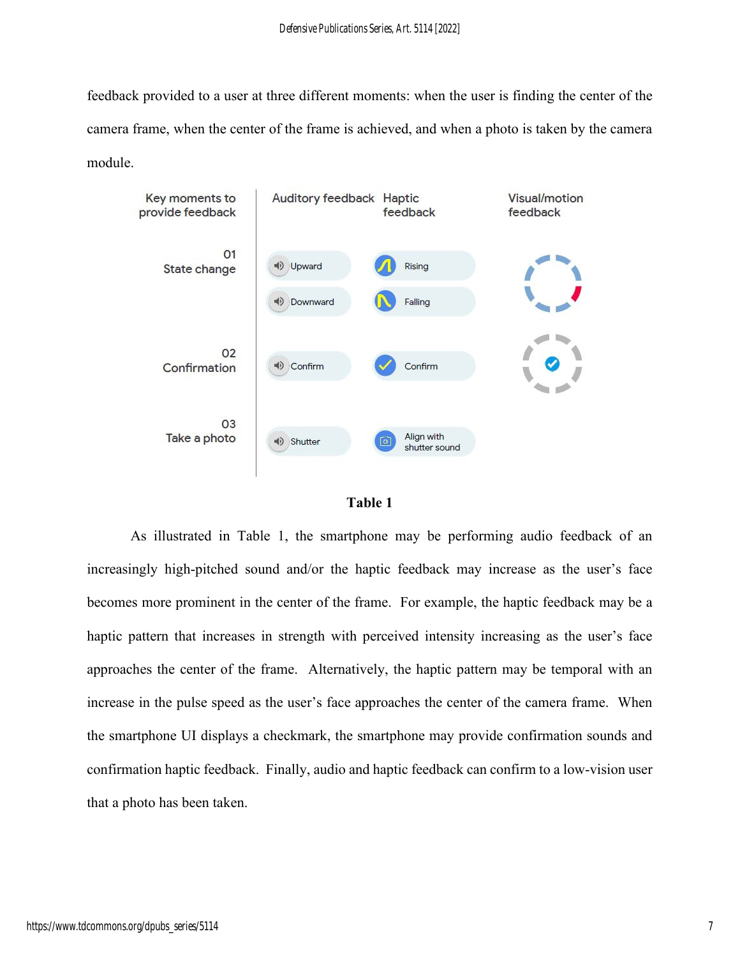feedback provided to a user at three different moments: when the user is finding the center of the camera frame, when the center of the frame is achieved, and when a photo is taken by the camera module.





As illustrated in Table 1, the smartphone may be performing audio feedback of an increasingly high-pitched sound and/or the haptic feedback may increase as the user's face becomes more prominent in the center of the frame. For example, the haptic feedback may be a haptic pattern that increases in strength with perceived intensity increasing as the user's face approaches the center of the frame. Alternatively, the haptic pattern may be temporal with an increase in the pulse speed as the user's face approaches the center of the camera frame. When the smartphone UI displays a checkmark, the smartphone may provide confirmation sounds and confirmation haptic feedback. Finally, audio and haptic feedback can confirm to a low-vision user that a photo has been taken.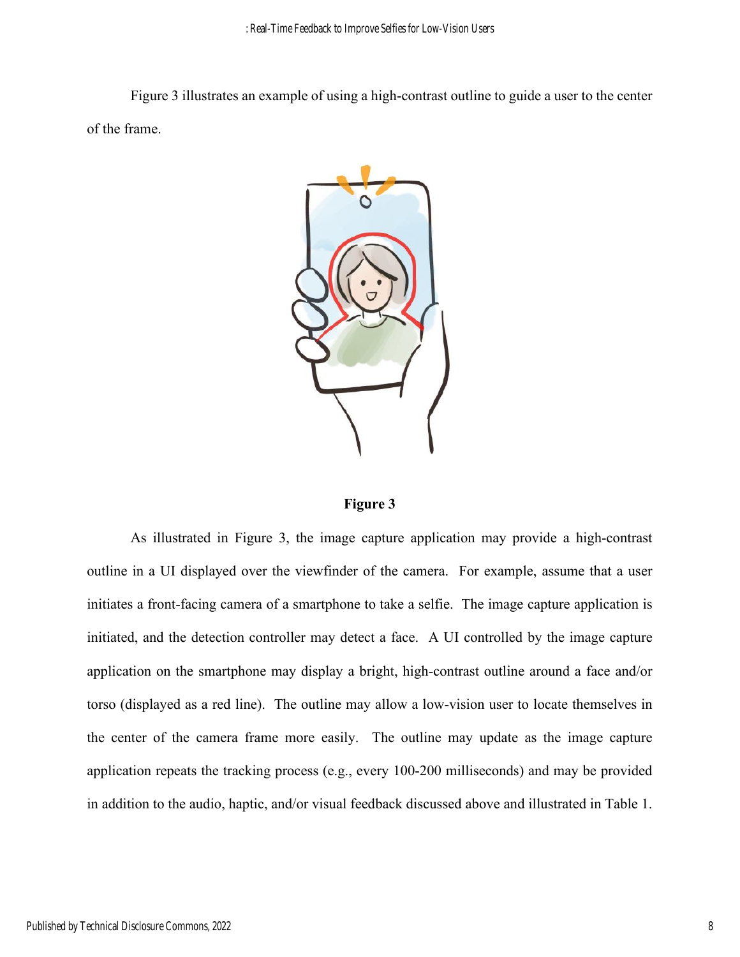Figure 3 illustrates an example of using a high-contrast outline to guide a user to the center of the frame.



**Figure 3** 

As illustrated in Figure 3, the image capture application may provide a high-contrast outline in a UI displayed over the viewfinder of the camera. For example, assume that a user initiates a front-facing camera of a smartphone to take a selfie. The image capture application is initiated, and the detection controller may detect a face. A UI controlled by the image capture application on the smartphone may display a bright, high-contrast outline around a face and/or torso (displayed as a red line). The outline may allow a low-vision user to locate themselves in the center of the camera frame more easily. The outline may update as the image capture application repeats the tracking process (e.g., every 100-200 milliseconds) and may be provided in addition to the audio, haptic, and/or visual feedback discussed above and illustrated in Table 1.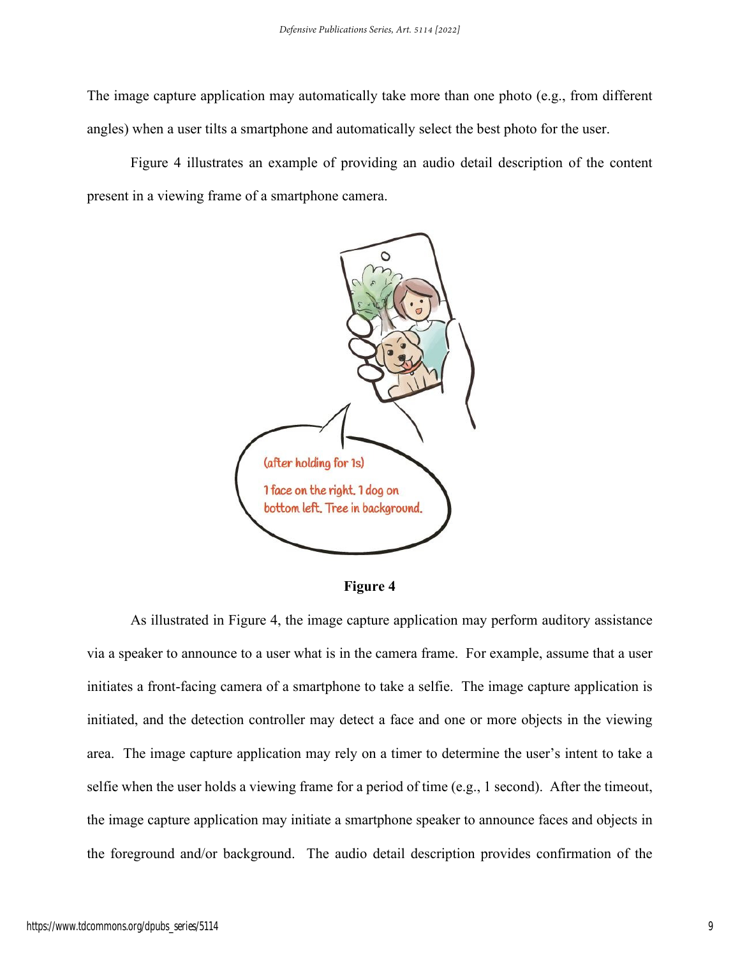The image capture application may automatically take more than one photo (e.g., from different angles) when a user tilts a smartphone and automatically select the best photo for the user.

Figure 4 illustrates an example of providing an audio detail description of the content present in a viewing frame of a smartphone camera.



**Figure 4** 

As illustrated in Figure 4, the image capture application may perform auditory assistance via a speaker to announce to a user what is in the camera frame. For example, assume that a user initiates a front-facing camera of a smartphone to take a selfie. The image capture application is initiated, and the detection controller may detect a face and one or more objects in the viewing area. The image capture application may rely on a timer to determine the user's intent to take a selfie when the user holds a viewing frame for a period of time (e.g., 1 second). After the timeout, the image capture application may initiate a smartphone speaker to announce faces and objects in the foreground and/or background. The audio detail description provides confirmation of the